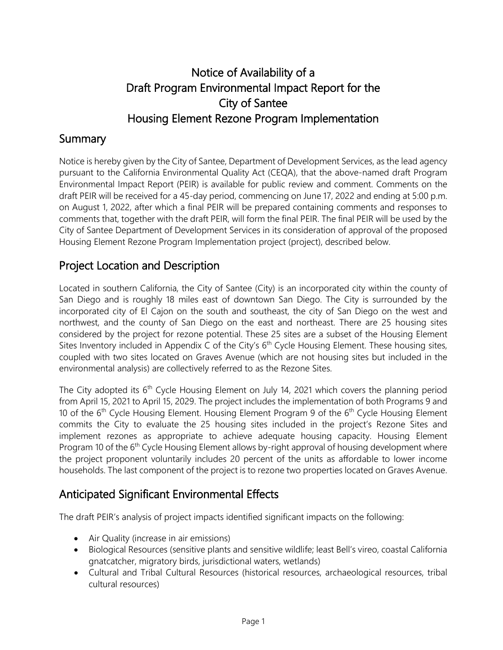# Notice of Availability of a Draft Program Environmental Impact Report for the City of Santee Housing Element Rezone Program Implementation

#### Summary

Notice is hereby given by the City of Santee, Department of Development Services, as the lead agency pursuant to the California Environmental Quality Act (CEQA), that the above-named draft Program Environmental Impact Report (PEIR) is available for public review and comment. Comments on the draft PEIR will be received for a 45-day period, commencing on June 17, 2022 and ending at 5:00 p.m. on August 1, 2022, after which a final PEIR will be prepared containing comments and responses to comments that, together with the draft PEIR, will form the final PEIR. The final PEIR will be used by the City of Santee Department of Development Services in its consideration of approval of the proposed Housing Element Rezone Program Implementation project (project), described below.

### Project Location and Description

Located in southern California, the City of Santee (City) is an incorporated city within the county of San Diego and is roughly 18 miles east of downtown San Diego. The City is surrounded by the incorporated city of El Cajon on the south and southeast, the city of San Diego on the west and northwest, and the county of San Diego on the east and northeast. There are 25 housing sites considered by the project for rezone potential. These 25 sites are a subset of the Housing Element Sites Inventory included in Appendix C of the City's  $6<sup>th</sup>$  Cycle Housing Element. These housing sites, coupled with two sites located on Graves Avenue (which are not housing sites but included in the environmental analysis) are collectively referred to as the Rezone Sites.

The City adopted its  $6<sup>th</sup>$  Cycle Housing Element on July 14, 2021 which covers the planning period from April 15, 2021 to April 15, 2029. The project includes the implementation of both Programs 9 and 10 of the  $6<sup>th</sup>$  Cycle Housing Element. Housing Element Program 9 of the  $6<sup>th</sup>$  Cycle Housing Element commits the City to evaluate the 25 housing sites included in the project's Rezone Sites and implement rezones as appropriate to achieve adequate housing capacity. Housing Element Program 10 of the 6<sup>th</sup> Cycle Housing Element allows by-right approval of housing development where the project proponent voluntarily includes 20 percent of the units as affordable to lower income households. The last component of the project is to rezone two properties located on Graves Avenue.

## Anticipated Significant Environmental Effects

The draft PEIR's analysis of project impacts identified significant impacts on the following:

- Air Quality (increase in air emissions)
- Biological Resources (sensitive plants and sensitive wildlife; least Bell's vireo, coastal California gnatcatcher, migratory birds, jurisdictional waters, wetlands)
- Cultural and Tribal Cultural Resources (historical resources, archaeological resources, tribal cultural resources)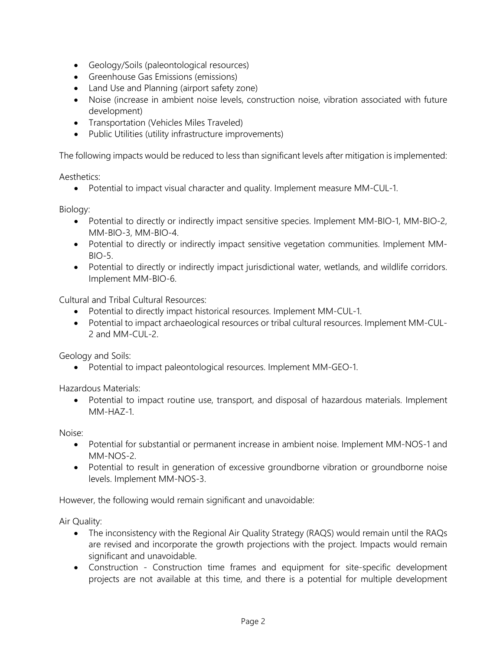- Geology/Soils (paleontological resources)
- Greenhouse Gas Emissions (emissions)
- Land Use and Planning (airport safety zone)
- Noise (increase in ambient noise levels, construction noise, vibration associated with future development)
- Transportation (Vehicles Miles Traveled)
- Public Utilities (utility infrastructure improvements)

The following impacts would be reduced to less than significant levels after mitigation is implemented:

Aesthetics:

• Potential to impact visual character and quality. Implement measure MM-CUL-1.

Biology:

- Potential to directly or indirectly impact sensitive species. Implement MM-BIO-1, MM-BIO-2, MM-BIO-3, MM-BIO-4.
- Potential to directly or indirectly impact sensitive vegetation communities. Implement MM-BIO-5.
- Potential to directly or indirectly impact jurisdictional water, wetlands, and wildlife corridors. Implement MM-BIO-6.

Cultural and Tribal Cultural Resources:

- Potential to directly impact historical resources. Implement MM-CUL-1.
- Potential to impact archaeological resources or tribal cultural resources. Implement MM-CUL-2 and MM-CUL-2.

Geology and Soils:

• Potential to impact paleontological resources. Implement MM-GEO-1.

Hazardous Materials:

• Potential to impact routine use, transport, and disposal of hazardous materials. Implement MM-HAZ-1.

Noise:

- Potential for substantial or permanent increase in ambient noise. Implement MM-NOS-1 and MM-NOS-2.
- Potential to result in generation of excessive groundborne vibration or groundborne noise levels. Implement MM-NOS-3.

However, the following would remain significant and unavoidable:

Air Quality:

- The inconsistency with the Regional Air Quality Strategy (RAQS) would remain until the RAQs are revised and incorporate the growth projections with the project. Impacts would remain significant and unavoidable.
- Construction Construction time frames and equipment for site-specific development projects are not available at this time, and there is a potential for multiple development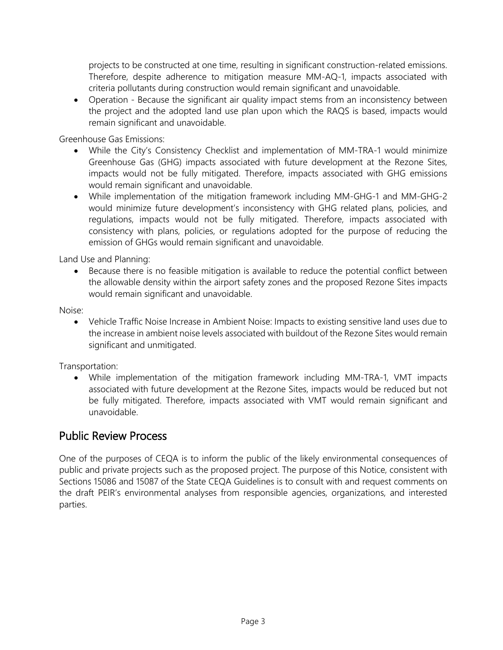projects to be constructed at one time, resulting in significant construction-related emissions. Therefore, despite adherence to mitigation measure MM-AQ-1, impacts associated with criteria pollutants during construction would remain significant and unavoidable.

• Operation - Because the significant air quality impact stems from an inconsistency between the project and the adopted land use plan upon which the RAQS is based, impacts would remain significant and unavoidable.

Greenhouse Gas Emissions:

- While the City's Consistency Checklist and implementation of MM-TRA-1 would minimize Greenhouse Gas (GHG) impacts associated with future development at the Rezone Sites, impacts would not be fully mitigated. Therefore, impacts associated with GHG emissions would remain significant and unavoidable.
- While implementation of the mitigation framework including MM-GHG-1 and MM-GHG-2 would minimize future development's inconsistency with GHG related plans, policies, and regulations, impacts would not be fully mitigated. Therefore, impacts associated with consistency with plans, policies, or regulations adopted for the purpose of reducing the emission of GHGs would remain significant and unavoidable.

Land Use and Planning:

• Because there is no feasible mitigation is available to reduce the potential conflict between the allowable density within the airport safety zones and the proposed Rezone Sites impacts would remain significant and unavoidable.

Noise:

• Vehicle Traffic Noise Increase in Ambient Noise: Impacts to existing sensitive land uses due to the increase in ambient noise levels associated with buildout of the Rezone Sites would remain significant and unmitigated.

Transportation:

• While implementation of the mitigation framework including MM-TRA-1, VMT impacts associated with future development at the Rezone Sites, impacts would be reduced but not be fully mitigated. Therefore, impacts associated with VMT would remain significant and unavoidable.

#### Public Review Process

One of the purposes of CEQA is to inform the public of the likely environmental consequences of public and private projects such as the proposed project. The purpose of this Notice, consistent with Sections 15086 and 15087 of the State CEQA Guidelines is to consult with and request comments on the draft PEIR's environmental analyses from responsible agencies, organizations, and interested parties.